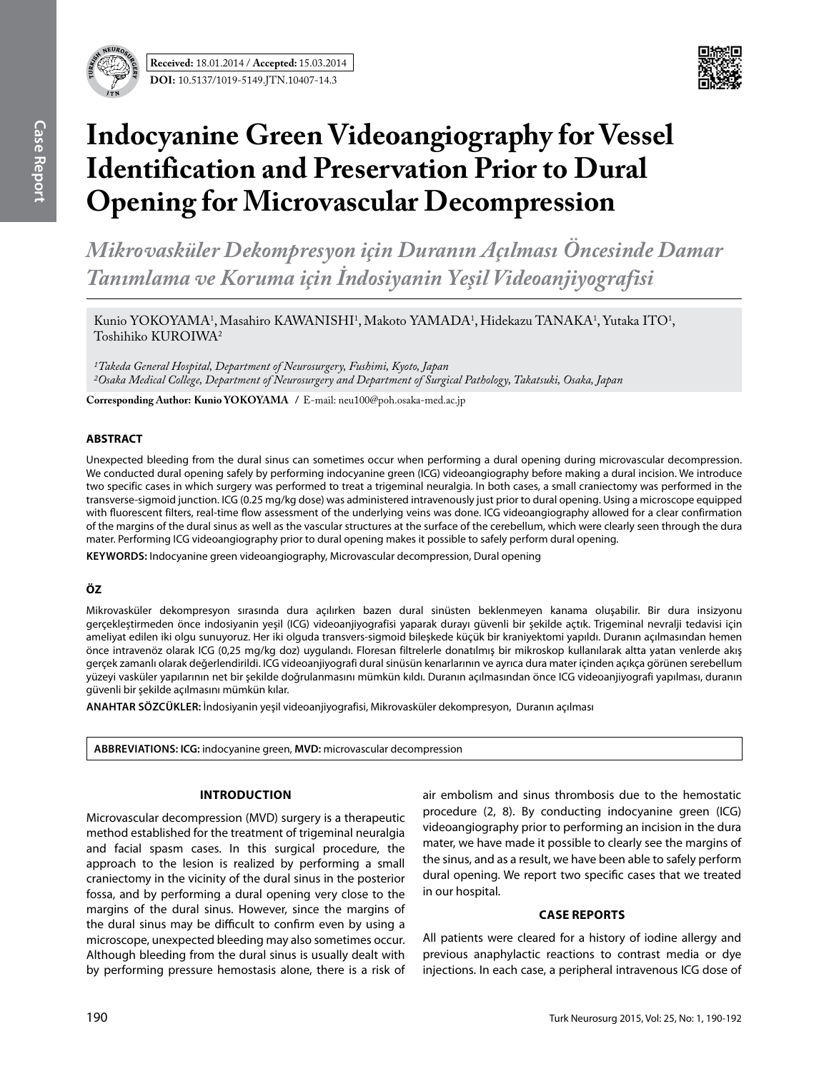

# **Indocyanine Green Videoangiography for Vessel Identification and Preservation Prior to Dural Opening for Microvascular Decompression**

*Mikrovasküler Dekompresyon için Duranın Açılması Öncesinde Damar Tanımlama ve Koruma için İndosiyanin Yeşil Videoanjiyografisi*

Kunio YOKOYAMA<sup>1</sup>, Masahiro KAWANISHI<sup>1</sup>, Makoto YAMADA<sup>1</sup>, Hidekazu TANAKA<sup>1</sup>, Yutaka ITO<sup>1</sup>, Toshihiko KUROIWA $^2$ 

*1Takeda General Hospital, Department of Neurosurgery, Fushimi, Kyoto, Japan 2Osaka Medical College, Department of Neurosurgery and Department of Surgical Pathology, Takatsuki, Osaka, Japan*

**Corresponding Author: Kunio Yokoyama /** E-mail: neu100@poh.osaka-med.ac.jp

#### **ABSTRACT**

Unexpected bleeding from the dural sinus can sometimes occur when performing a dural opening during microvascular decompression. We conducted dural opening safely by performing indocyanine green (ICG) videoangiography before making a dural incision. We introduce two specific cases in which surgery was performed to treat a trigeminal neuralgia. In both cases, a small craniectomy was performed in the transverse-sigmoid junction. ICG (0.25 mg/kg dose) was administered intravenously just prior to dural opening. Using a microscope equipped with fluorescent filters, real-time flow assessment of the underlying veins was done. ICG videoangiography allowed for a clear confirmation of the margins of the dural sinus as well as the vascular structures at the surface of the cerebellum, which were clearly seen through the dura mater. Performing ICG videoangiography prior to dural opening makes it possible to safely perform dural opening.

**Keywords:** Indocyanine green videoangiography, Microvascular decompression, Dural opening

## **ÖZ**

Mikrovasküler dekompresyon sırasında dura açılırken bazen dural sinüsten beklenmeyen kanama oluşabilir. Bir dura insizyonu gerçekleştirmeden önce indosiyanin yeşil (ICG) videoanjiyografisi yaparak durayı güvenli bir şekilde açtık. Trigeminal nevralji tedavisi için ameliyat edilen iki olgu sunuyoruz. Her iki olguda transvers-sigmoid bileşkede küçük bir kraniyektomi yapıldı. Duranın açılmasından hemen önce intravenöz olarak ICG (0,25 mg/kg doz) uygulandı. Floresan filtrelerle donatılmış bir mikroskop kullanılarak altta yatan venlerde akış gerçek zamanlı olarak değerlendirildi. ICG videoanjiyografi dural sinüsün kenarlarının ve ayrıca dura mater içinden açıkça görünen serebellum yüzeyi vasküler yapılarının net bir şekilde doğrulanmasını mümkün kıldı. Duranın açılmasından önce ICG videoanjiyografi yapılması, duranın güvenli bir şekilde açılmasını mümkün kılar.

**ANAHTAR SÖZCÜKLER:** İndosiyanin yeşil videoanjiyografisi, Mikrovasküler dekompresyon, Duranın açılması

**Abbrevıatıons: ICG:** indocyanine green, **MVD:** microvascular decompression

#### **Introduction**

Microvascular decompression (MVD) surgery is a therapeutic method established for the treatment of trigeminal neuralgia and facial spasm cases. In this surgical procedure, the approach to the lesion is realized by performing a small craniectomy in the vicinity of the dural sinus in the posterior fossa, and by performing a dural opening very close to the margins of the dural sinus. However, since the margins of the dural sinus may be difficult to confirm even by using a microscope, unexpected bleeding may also sometimes occur. Although bleeding from the dural sinus is usually dealt with by performing pressure hemostasis alone, there is a risk of air embolism and sinus thrombosis due to the hemostatic procedure (2, 8). By conducting indocyanine green (ICG) videoangiography prior to performing an incision in the dura mater, we have made it possible to clearly see the margins of the sinus, and as a result, we have been able to safely perform dural opening. We report two specific cases that we treated in our hospital.

#### **CASE REPORTS**

All patients were cleared for a history of iodine allergy and previous anaphylactic reactions to contrast media or dye injections. In each case, a peripheral intravenous ICG dose of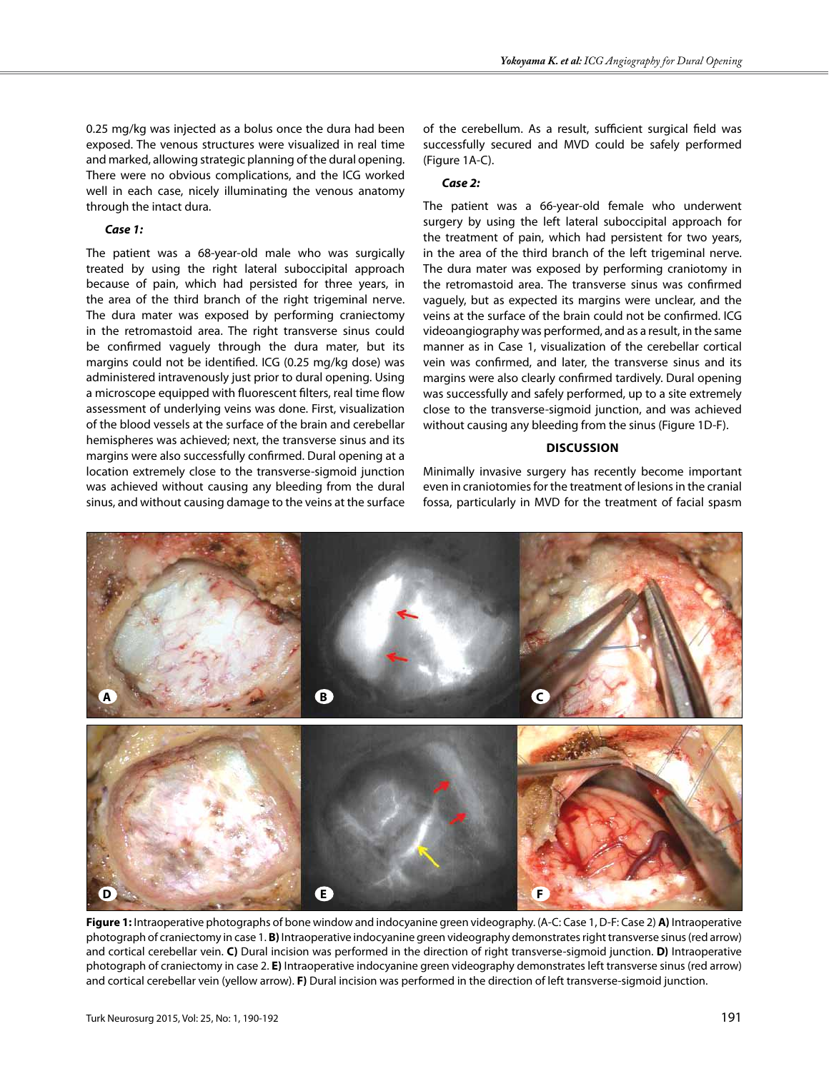0.25 mg/kg was injected as a bolus once the dura had been exposed. The venous structures were visualized in real time and marked, allowing strategic planning of the dural opening. There were no obvious complications, and the ICG worked well in each case, nicely illuminating the venous anatomy through the intact dura.

#### *Case 1:*

The patient was a 68-year-old male who was surgically treated by using the right lateral suboccipital approach because of pain, which had persisted for three years, in the area of the third branch of the right trigeminal nerve. The dura mater was exposed by performing craniectomy in the retromastoid area. The right transverse sinus could be confirmed vaguely through the dura mater, but its margins could not be identified. ICG (0.25 mg/kg dose) was administered intravenously just prior to dural opening. Using a microscope equipped with fluorescent filters, real time flow assessment of underlying veins was done. First, visualization of the blood vessels at the surface of the brain and cerebellar hemispheres was achieved; next, the transverse sinus and its margins were also successfully confirmed. Dural opening at a location extremely close to the transverse-sigmoid junction was achieved without causing any bleeding from the dural sinus, and without causing damage to the veins at the surface of the cerebellum. As a result, sufficient surgical field was successfully secured and MVD could be safely performed (Figure 1A-C).

#### *Case 2:*

The patient was a 66-year-old female who underwent surgery by using the left lateral suboccipital approach for the treatment of pain, which had persistent for two years, in the area of the third branch of the left trigeminal nerve. The dura mater was exposed by performing craniotomy in the retromastoid area. The transverse sinus was confirmed vaguely, but as expected its margins were unclear, and the veins at the surface of the brain could not be confirmed. ICG videoangiography was performed, and as a result, in the same manner as in Case 1, visualization of the cerebellar cortical vein was confirmed, and later, the transverse sinus and its margins were also clearly confirmed tardively. Dural opening was successfully and safely performed, up to a site extremely close to the transverse-sigmoid junction, and was achieved without causing any bleeding from the sinus (Figure 1D-F).

### **Discussion**

Minimally invasive surgery has recently become important even in craniotomies for the treatment of lesions in the cranial fossa, particularly in MVD for the treatment of facial spasm



**Figure 1:** Intraoperative photographs of bone window and indocyanine green videography. (A-C: Case 1, D-F: Case 2) **A)** Intraoperative photograph of craniectomy in case 1. **B)** Intraoperative indocyanine green videography demonstrates right transverse sinus (red arrow) and cortical cerebellar vein. **C)** Dural incision was performed in the direction of right transverse-sigmoid junction. **D)** Intraoperative photograph of craniectomy in case 2. **E)** Intraoperative indocyanine green videography demonstrates left transverse sinus (red arrow) and cortical cerebellar vein (yellow arrow). **F)** Dural incision was performed in the direction of left transverse-sigmoid junction.